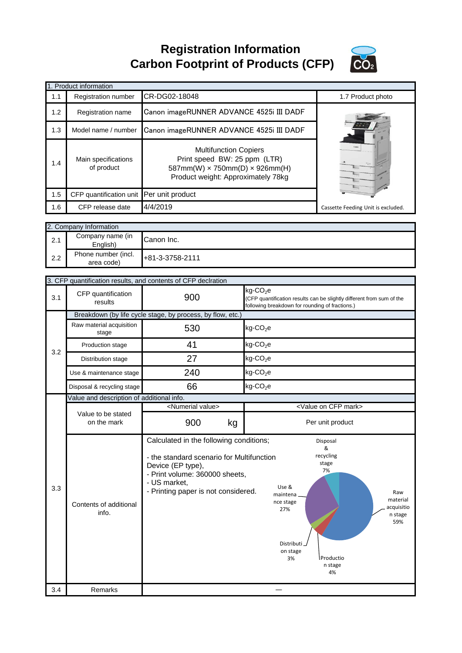**Registration Information Carbon Footprint of Products (CFP)**



|     | 1. Product information                    |                                                                                                                                                                                                    |                                                                         |                                                                                                                              |
|-----|-------------------------------------------|----------------------------------------------------------------------------------------------------------------------------------------------------------------------------------------------------|-------------------------------------------------------------------------|------------------------------------------------------------------------------------------------------------------------------|
| 1.1 | <b>Registration number</b>                | CR-DG02-18048                                                                                                                                                                                      |                                                                         | 1.7 Product photo                                                                                                            |
|     |                                           |                                                                                                                                                                                                    |                                                                         |                                                                                                                              |
| 1.2 | Registration name                         | Canon imageRUNNER ADVANCE 4525i III DADF                                                                                                                                                           |                                                                         |                                                                                                                              |
| 1.3 | Model name / number                       | Canon imageRUNNER ADVANCE 4525i III DADF                                                                                                                                                           |                                                                         |                                                                                                                              |
| 1.4 | Main specifications<br>of product         | <b>Multifunction Copiers</b><br>Print speed BW: 25 ppm (LTR)<br>587mm(W) x 750mm(D) x 926mm(H)<br>Product weight: Approximately 78kg                                                               |                                                                         |                                                                                                                              |
| 1.5 | CFP quantification unit                   | Per unit product                                                                                                                                                                                   |                                                                         |                                                                                                                              |
| 1.6 | CFP release date                          | 4/4/2019                                                                                                                                                                                           |                                                                         | Cassette Feeding Unit is excluded.                                                                                           |
|     |                                           |                                                                                                                                                                                                    |                                                                         |                                                                                                                              |
|     | 2. Company Information                    |                                                                                                                                                                                                    |                                                                         |                                                                                                                              |
| 2.1 | Company name (in<br>English)              | Canon Inc.                                                                                                                                                                                         |                                                                         |                                                                                                                              |
| 2.2 | Phone number (incl.<br>area code)         | +81-3-3758-2111                                                                                                                                                                                    |                                                                         |                                                                                                                              |
|     |                                           |                                                                                                                                                                                                    |                                                                         |                                                                                                                              |
|     |                                           | 3. CFP quantification results, and contents of CFP declration                                                                                                                                      |                                                                         |                                                                                                                              |
| 3.1 | CFP quantification<br>results             | 900                                                                                                                                                                                                | kg-CO <sub>2</sub> e<br>following breakdown for rounding of fractions.) | (CFP quantification results can be slightly different from sum of the                                                        |
|     |                                           | Breakdown (by life cycle stage, by process, by flow, etc.)                                                                                                                                         |                                                                         |                                                                                                                              |
| 3.2 | Raw material acquisition<br>stage         | 530                                                                                                                                                                                                | $kg$ -CO <sub>2</sub> e                                                 |                                                                                                                              |
|     | Production stage                          | 41                                                                                                                                                                                                 | $kg$ -CO <sub>2</sub> e                                                 |                                                                                                                              |
|     | Distribution stage                        | 27                                                                                                                                                                                                 | $kg$ -CO <sub>2</sub> e                                                 |                                                                                                                              |
|     | Use & maintenance stage                   | 240                                                                                                                                                                                                | $kg$ -CO <sub>2</sub> e                                                 |                                                                                                                              |
|     | Disposal & recycling stage                | 66                                                                                                                                                                                                 | kg-CO <sub>2</sub> e                                                    |                                                                                                                              |
|     | Value and description of additional info. |                                                                                                                                                                                                    |                                                                         |                                                                                                                              |
|     | Value to be stated                        | <numerial value=""></numerial>                                                                                                                                                                     |                                                                         | <value cfp="" mark="" on=""></value>                                                                                         |
|     | on the mark                               | 900<br>kg                                                                                                                                                                                          |                                                                         | Per unit product                                                                                                             |
| 3.3 | Contents of additional<br>info.           | Calculated in the following conditions;<br>- the standard scenario for Multifunction<br>Device (EP type),<br>- Print volume: 360000 sheets,<br>- US market,<br>- Printing paper is not considered. | Use &<br>maintena.<br>nce stage<br>27%<br>Distributi.<br>on stage<br>3% | Disposal<br>&<br>recycling<br>stage<br>7%<br>Raw<br>material<br>acquisitio<br>n stage<br>59%<br>l Productio<br>n stage<br>4% |
| 3.4 | Remarks                                   |                                                                                                                                                                                                    |                                                                         |                                                                                                                              |